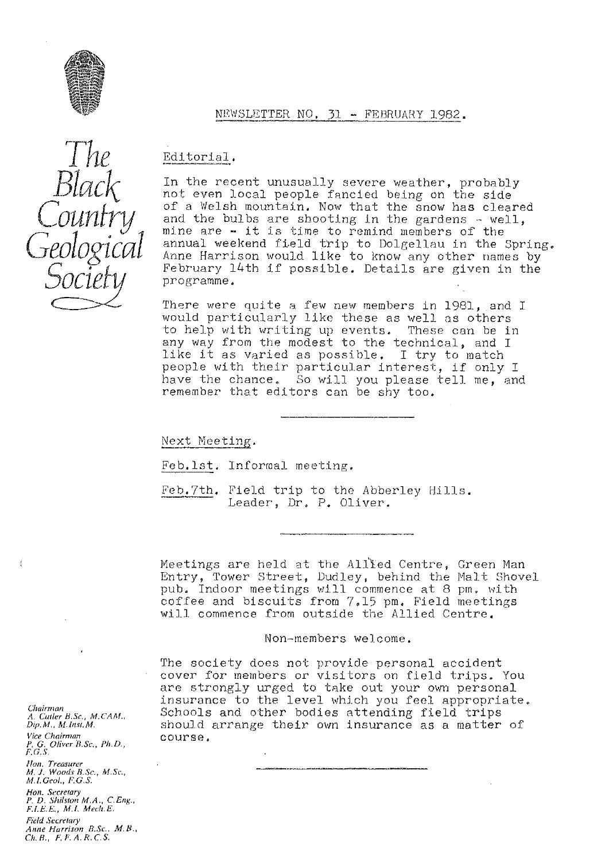

### NEWSLETTER NO. 31 - FEBRUARY 1982.

# Editorial.

In the recent unusually severe weather, probably not even local people fancied being on the side of a Welsh mountain. Now that the snow has cleared and the bulbs are shooting in the gardens - well, mine are - it is time to remind members of the annual weekend field trip to Dolgellau in the Spring. Anne Harrison would like to know any other names by February 14th if possible. Details are given in the programme.

There were quite a few new members in 1981, and I would particularly like these as well as others to help with writing up events. These can be in any way from the modest to the technical, and I like it as varied as possible. I try to match people with their particular interest, if only I have the chance. So will you please tell me, and remember that editors can be shy too.

Next Meeting.

Feb.lst. Informal meeting.

Feb.7th. Field trip to the Abberley Hills. Leader, Dr. P. Oliver.

Meetings are held at the Allled Centre, Green Man Entry, Tower Street, Dudley, behind the Malt Shovel pub. Indoor meetings will commence at 8 pm, with coffee and biscuits from 7.15 pm. Field meetings will commence from outside the Allied Centre.

Non-members welcome.

The society does not provide personal accident cover for members or visitors on field trips. You are strongly urged to take out your own personal<br>insurance to the level which you feel appropriate Schools and other bodies attending field trips should arrange their own insurance as a matter of course.

Chairman A*. Cutler B.Sc., M.CAM.*<br>Dip.M., M.Inst.M. *Vice Chairman P. G. Oliver B.Sc,, Pl<sup>y</sup> . D.,* F.G.S. *Note. Treasurer Al, J. Woods B.Sc., M.Sc., M.I. Geol., F.G.S. Hon. Secretary P. D.* S/^rlston *MA.,* C.Eng., *F. 1. '.1;,, M.I. Mech, E.* **Field Secretary** *Anne Harrison B,Sc., M. E. Ch.B., F,I'.A.R.C.S.*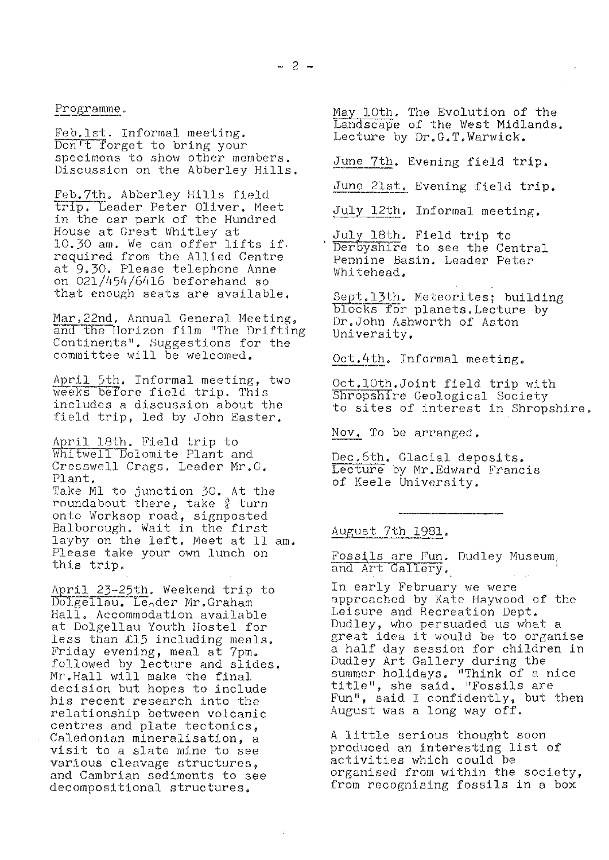Programme.

Feb.lst. Informal meeting. Don't forget to bring your specimens to show other members. Discussion on the Abberley Hills.

Feb.7th. Abberley Hills field trip, Leader Peter Oliver. Meek: in the car park of the Hundred House at Great Whitley at 10.30 am. We can offer lifts if. required from the Allied Centre at 9.30. Please telephone Anne on 021/454/6416 beforehand so that enough seats are available.

Mar.22nd. Annual General Meeting, and the Horizon film "The Drifting Continents". Suggestions for the committee will be welcomed.

April 5th. Informal meeting, two weeks before field trip. This includes a discussion about the field trip, led by John Easter.

April 18th. Field trip to Whitwell Dolomite Plant and Cresswell Crags. Leader Mr.G, Plant,

Take Ml to junction 30. At the roundabout there, take  $\frac{9}{4}$  turn onto Worksop road, signposted Balborough. Wait in the first layby on the left. Meet at 11 am. Please take your own lunch on this trip.

April 23-25th. Weekend trip to Dolgellau. Le<sub>o</sub>der Mr.Graham Hall, Accommodation available at Dolgellau Youth Hostel for less than £15 including meals. Friday evening, meal at 7pm. followed by lecture and slides. Mr.Hall will make the final decision but hopes to include his recent research into the relationship between volcanic centres and plate tectonics, Caledonian mineralisation, a visit to a slate mine to see various cleavage structures, and Cambrian sediments to see decompositional structures.

May 10th. The Evolution of the Landscape of the West Midlands. Lecture by Dr. G, T. Warwick.

June 7th. Evening field trip.

June 21st. Evening field trip.

July 12th. Informal meeting.

July 18th. Field trip to Derbyshire to see the Central Pennine Basin. Leader Peter Whitehead.

Sept.13th. Meteorites; building blocks for planets. Lecture by Dr.John Ashworth of Aston University,

Oct. 4th. Informal meeting.

Oct.10th.Joint field trip with Shropshire Geological Society to sites of interest in Shropshire.

Nov, To be arranged.

Dec .6th. Glacial deposits. Lecture by Mr. Edward Francis of Keele University.

#### August 7th 1981.

Fossils are Fun. Dudley Museum, and Art Gallery.

In early February we were approached by Kate Haywood of the Leisure and Recreation Dept. Dudley, who persuaded us what a great idea it would be to organise a half day session for children in Dudley Art Gallery during the summer holidays. "Think of a nice title", she said. "Fossils are Fun", said I confidently, but then August was a long way off.

A little serious thought soon produced an interesting list of activities which could be organised from within the society, from recognising fossils in a box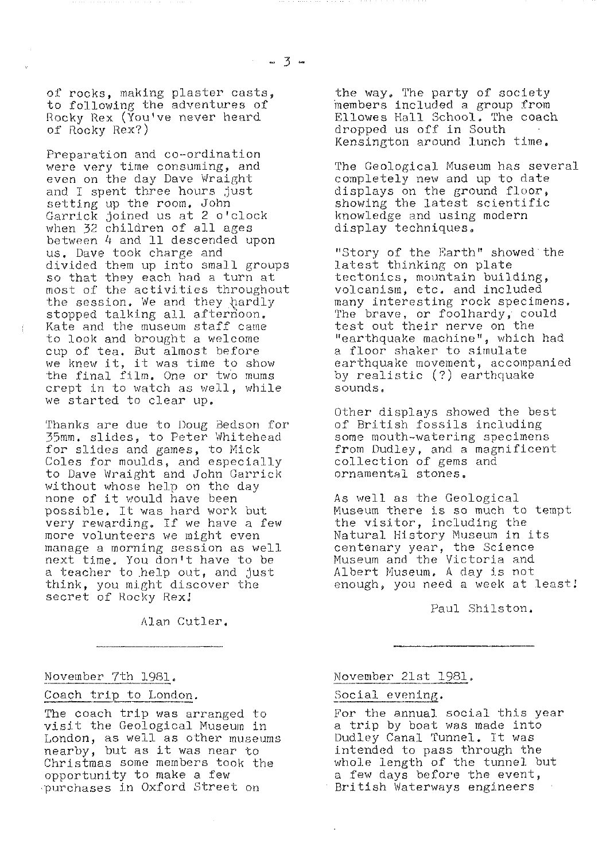of rocks, making plaster casts, to following the adventures of Rocky Rex (You've never heard of Rocky Rex?)

Preparation and co-ordination were very time consuming, and even on the day Dave Wraight and I spent three hours just setting up the room, John Garrick joined us at 2 o'clock when 32 children of all ages between 4 and 11 descended upon us. Dave took charge and divided *them up into small groups* so that they each had a turn at most of the activities throughout the session. We and they  $\mathop{\rm \text{hardly}}$ stopped talking all afternoon. *Kate and the museum staff came* to look and brought a welcome cup of tea, But almost before we knew it, it was time to show 'the final film. One or two mums *crept in to watch as well, while* we started to clear up.

Thanks are due to Doug Bedson for 35mm, slides, to Peter Whitehead *for slides and games, to Nick Coles for moulds, and especially* to Dave Wraight and John Garrick without whose help on the day none *of* it would have been possible, It was hard work but very rewarding. If we have a few more volunteers we might even manage a morning session as well next time, You don't *have to be* a teacher to help out, and just think, you might discover the *secret of Rocky Rex.,*

*Alan Cutler,*

November 7th 1981.

Coach trip to London.

The coach trip was arranged to visit the Geological Museum in London, as well as other museums nearby, but as it was near to Christmas some members took the opportunity to make a few purchases in Oxford Street on

the way. The party of society members included a group from Ellowes Hall School. The coach dropped us off in South Kensington around lunch time,

The Geological Museum has several completely new and up to date displays on the ground floor, showing the latest scientific knowledge and using modern display techniques.

"Story of the Earth" showed *the* latest thinking on plate tectonics, mountain building, volcanism, etc, and included many interesting rock specimens. The brave, or foolhardy, could test out their nerve on the "earthquake machine", which had a floor shaker to simulate earthquake movement, accompanied by realistic (?) earthquake sounds.

Other displays showed the best of British fossils including some mouth-watering specimens from Dudley, and a magnificent collection of gems and ornamental stones,

As well as the Geological Museum there is so much to tempt the visitor, including the Natural History Museum in its centenary year, the Science Museum and the Victoria and Albert Museum, A day is not enough, you need a week at least;

Paul Shilston,

November 21st 1981 .

### Social evening.

For the annual social this year a trip by boat was made into Dudley Canal Tunnel. It was intended to pass through the whole length of the tunnel but a few days before the event, British Waterways engineers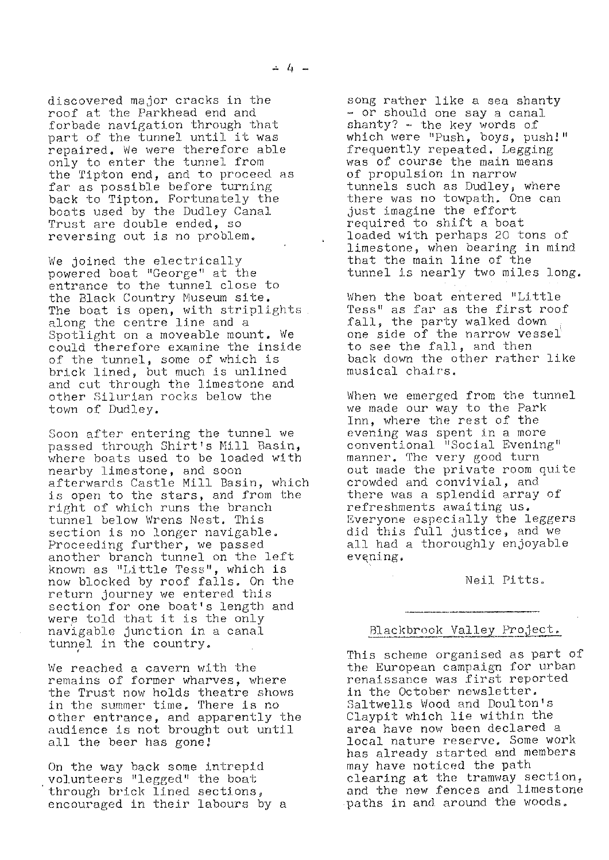discovered major cracks in the *roof at the* Parkhead end and forbade navigation through that *part of the* tunnel until it was repaired. We were therefore able only to enter the tunnel from the Tipton end, and to proceed as far as possible before turning back to Tipton. Fortunately the boats used by the Dudley Canal Trust are double ended, so reversing out is no problem.

We joined the electrically powered boat "George" at the entrance to the tunnel close to the Black Country Museum site. The boat is open, with striplights along the centre line and a Spotlight on a moveable mount, We could therefore examine the inside of the tunnel, some of which is brick lined, but much is unlined and cut through the limestone and other Silurian rocks below the town of Dudley.

Soon after entering the tunnel we passed through Shirt's Mill Basin, where boats used to be loaded with nearby limestone, and soon afterwards Castle Mill Basin, which is open to *the stars,* and from the right of which runs the branch tunnel below Wrens *Nest. This* section is no longer navigable. Proceeding further, we passed another branch tunnel on the left known as "Little Tess", which is now blocked by roof falls. On the return journey we entered this section for one boat's length and were told that it is the only navigable junction in a canal tunnel. in the country.

*We* reached, a cavern with the remains of former wharves, where the Trust now holds theatre shows in the summer tim<mark>e.</mark> There is no other entrance, and apparently the audience is not brought out until all the beer has gone!

On the way hack some intrepid volunteers "legged" the boat *through* brick lined sections, encouraged in their labours by a

*song rather* like a sea shanty - or should one say a canal  $shanty?$  - the key words of which were "Push, boys, push!" frequently repeated. Legging was of course the main means of propulsion in narrow tunnels such as Dudley, where there was no towpath. One can just imagine the effort required to shift a boat loaded with perhaps 20 tons of limestone, when bearing in mind that the main line of the tunnel is nearly two miles long.

When the boat entered "Little Tess" as far as the first roof fall, the party walked down one side of the narrow vessel' to see the fall, and then back down the other rather like musical chairs,

When we emerged from the tunnel we made our way to the Park Inn, where the rest of the evening was spent in a more conventional "Social Evening" manner. The *very good turn* out made the private room quite crowded and convivial, and there was a splendid array of refreshments awaiting us, Everyone especially the leggers did this full justice, and we all had a thoroughly enjoyable evgning.

Neil Pitts.

## Blackbrook Valley Project.

This scheme organised as part of the European campaign for urban renaissance was first reported in the October newsletter, Saltwells Wood and Doulton's Claypit which lie within the area have now been declared a local nature reserve. Some work has already started and members may have noticed the path clearing at the tramway section, and the new fences and limestone paths in and around the woods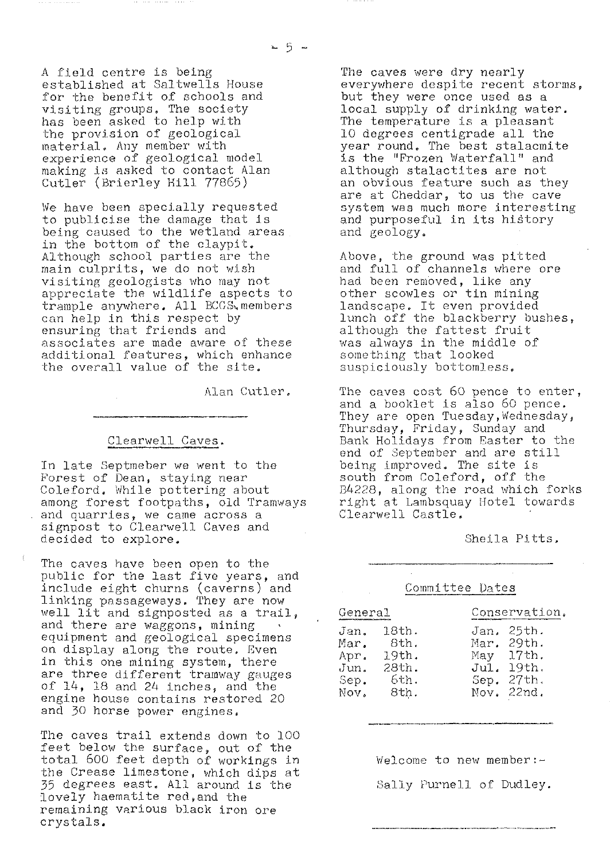20 5 m

A field centre is being established at Saltwells House for the benefit of schools and visiting groups. The society has been asked to help with the provision of geological material. Any member with experience of geological model making is *asked to contact Alan* Cutler (Brierley Hill 77865)

We have been specially requested to publicise the damage that is being caused to the wetland areas in the bottom of the claypit. Although school parties are the *main culprits, we* do not wish visiting geologists who may not appreciate the wildlife aspects to trample anywhere. All BCGS members can help in *this respect by* ensuring that friends and associates are made aware of these additional features, which enhance the overall value of the site.

Alan Cutler,

#### Clearwell Caves.

In late Septmeber we went to the Forest of Dean, staying near Coleford. While pottering about among forest footpaths, old Tramways and quarries, we came across a signpost to Clearwell Caves and decided to explore.

The caves have been open to the public for the last five years, and include eight churns (caverns) and linking passageways. They are now well lit and signposted as a trail, and there are waggons, mining equipment and geological specimens on display along the route, Even in this one mining system, there are three different tramway gauges of 14, 18 and 24 inches, and the engine house contains restored 20 and 30 horse power engines.

The caves trail extends down to 100 feet below the surface, out of the total 600 feet depth of workings in the Crease limestone, which dips at 35 degrees east. All around is the lovely haematite red,and the remaining various black iron ore crystals.

The caves were dry nearly everywhere despite recent storms, but they were once used as a local supply of drinking water. The temperature is a pleasant 10 degrees centigrade all the year round, The best stalacmite is the "Frozen Waterfall" and *although stalactites are not an obvious feature such as they* are at Cheddar, to us the cave system wes much more interesting and purposeful in its history and geology,

Above, the ground was pitted and full of channels where ore had been removed, like any other scowles or tin mining landscape. It even provided lunch off the blackberry bushes, although the fattest fruit was always in the middle of something that looked suspiciously bottomless.

The caves cost 60 pence to enter, and a booklet is also 60 pence. They are open Tuesday, Wednesday, Thursday, Friday, Sunday and Bank Holidays from Easter to the end of September and are still being improved. The site is south from Coleford, off the B4228, along the road which forks right at Lambsquay Hotel towards Clearwell Castle.

Sheila Pitts,

| Committee Dates                              |                                                 |                                     |                                                         |
|----------------------------------------------|-------------------------------------------------|-------------------------------------|---------------------------------------------------------|
| General                                      |                                                 | Conservation.                       |                                                         |
| Jan.<br>Mar.<br>Apr.<br>Jun.<br>Sep.<br>Nov. | 18th.<br>8th.<br>19th.<br>28th.<br>6th.<br>8th. | Jan.<br>May<br>Jul.<br>Sep.<br>Nov. | 25th.<br>Mar. 29th.<br>17th.<br>19th.<br>27th.<br>22nd. |

Welcome to new member  $:-$ Sally Purnell of Dudley.